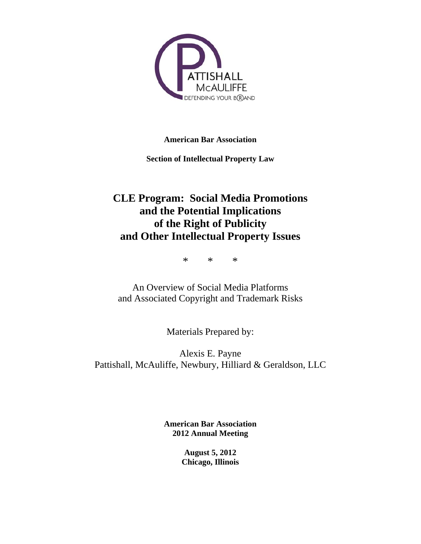

**American Bar Association** 

**Section of Intellectual Property Law** 

# **CLE Program: Social Media Promotions and the Potential Implications of the Right of Publicity and Other Intellectual Property Issues**

\* \* \*

An Overview of Social Media Platforms and Associated Copyright and Trademark Risks

Materials Prepared by:

Alexis E. Payne Pattishall, McAuliffe, Newbury, Hilliard & Geraldson, LLC

> **American Bar Association 2012 Annual Meeting**

> > **August 5, 2012 Chicago, Illinois**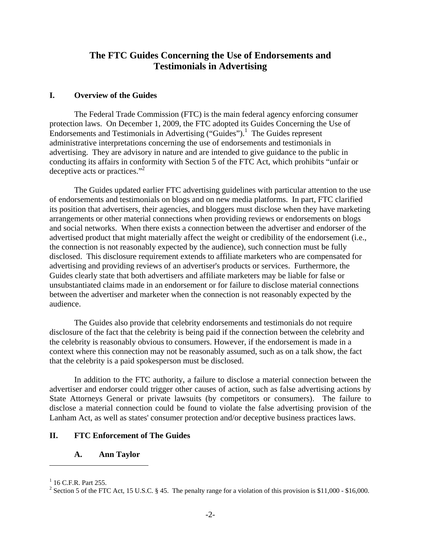## **The FTC Guides Concerning the Use of Endorsements and Testimonials in Advertising**

#### **I. Overview of the Guides**

The Federal Trade Commission (FTC) is the main federal agency enforcing consumer protection laws. On December 1, 2009, the FTC adopted its Guides Concerning the Use of Endorsements and Testimonials in Advertising ("Guides").<sup>1</sup> The Guides represent administrative interpretations concerning the use of endorsements and testimonials in advertising. They are advisory in nature and are intended to give guidance to the public in conducting its affairs in conformity with Section 5 of the FTC Act, which prohibits "unfair or deceptive acts or practices."<sup>2</sup>

The Guides updated earlier FTC advertising guidelines with particular attention to the use of endorsements and testimonials on blogs and on new media platforms. In part, FTC clarified its position that advertisers, their agencies, and bloggers must disclose when they have marketing arrangements or other material connections when providing reviews or endorsements on blogs and social networks. When there exists a connection between the advertiser and endorser of the advertised product that might materially affect the weight or credibility of the endorsement (i.e., the connection is not reasonably expected by the audience), such connection must be fully disclosed. This disclosure requirement extends to affiliate marketers who are compensated for advertising and providing reviews of an advertiser's products or services. Furthermore, the Guides clearly state that both advertisers and affiliate marketers may be liable for false or unsubstantiated claims made in an endorsement or for failure to disclose material connections between the advertiser and marketer when the connection is not reasonably expected by the audience.

The Guides also provide that celebrity endorsements and testimonials do not require disclosure of the fact that the celebrity is being paid if the connection between the celebrity and the celebrity is reasonably obvious to consumers. However, if the endorsement is made in a context where this connection may not be reasonably assumed, such as on a talk show, the fact that the celebrity is a paid spokesperson must be disclosed.

In addition to the FTC authority, a failure to disclose a material connection between the advertiser and endorser could trigger other causes of action, such as false advertising actions by State Attorneys General or private lawsuits (by competitors or consumers). The failure to disclose a material connection could be found to violate the false advertising provision of the Lanham Act, as well as states' consumer protection and/or deceptive business practices laws.

### **II. FTC Enforcement of The Guides**

#### **A. Ann Taylor**

 $1$  16 C.F.R. Part 255.

<sup>&</sup>lt;sup>2</sup> Section 5 of the FTC Act, 15 U.S.C. § 45. The penalty range for a violation of this provision is \$11,000 - \$16,000.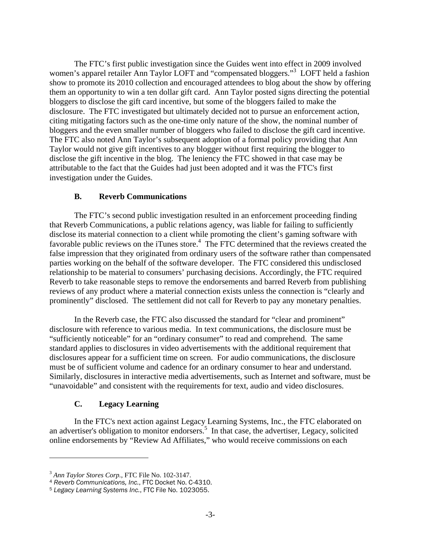The FTC's first public investigation since the Guides went into effect in 2009 involved women's apparel retailer Ann Taylor LOFT and "compensated bloggers."<sup>3</sup> LOFT held a fashion show to promote its 2010 collection and encouraged attendees to blog about the show by offering them an opportunity to win a ten dollar gift card. Ann Taylor posted signs directing the potential bloggers to disclose the gift card incentive, but some of the bloggers failed to make the disclosure. The FTC investigated but ultimately decided not to pursue an enforcement action, citing mitigating factors such as the one-time only nature of the show, the nominal number of bloggers and the even smaller number of bloggers who failed to disclose the gift card incentive. The FTC also noted Ann Taylor's subsequent adoption of a formal policy providing that Ann Taylor would not give gift incentives to any blogger without first requiring the blogger to disclose the gift incentive in the blog. The leniency the FTC showed in that case may be attributable to the fact that the Guides had just been adopted and it was the FTC's first investigation under the Guides.

### **B. Reverb Communications**

The FTC's second public investigation resulted in an enforcement proceeding finding that Reverb Communications, a public relations agency, was liable for failing to sufficiently disclose its material connection to a client while promoting the client's gaming software with favorable public reviews on the iTunes store.<sup>4</sup> The FTC determined that the reviews created the false impression that they originated from ordinary users of the software rather than compensated parties working on the behalf of the software developer. The FTC considered this undisclosed relationship to be material to consumers' purchasing decisions. Accordingly, the FTC required Reverb to take reasonable steps to remove the endorsements and barred Reverb from publishing reviews of any product where a material connection exists unless the connection is "clearly and prominently" disclosed. The settlement did not call for Reverb to pay any monetary penalties.

In the Reverb case, the FTC also discussed the standard for "clear and prominent" disclosure with reference to various media. In text communications, the disclosure must be "sufficiently noticeable" for an "ordinary consumer" to read and comprehend. The same standard applies to disclosures in video advertisements with the additional requirement that disclosures appear for a sufficient time on screen. For audio communications, the disclosure must be of sufficient volume and cadence for an ordinary consumer to hear and understand. Similarly, disclosures in interactive media advertisements, such as Internet and software, must be "unavoidable" and consistent with the requirements for text, audio and video disclosures.

## **C. Legacy Learning**

In the FTC's next action against Legacy Learning Systems, Inc., the FTC elaborated on an advertiser's obligation to monitor endorsers.<sup>5</sup> In that case, the advertiser, Legacy, solicited online endorsements by "Review Ad Affiliates," who would receive commissions on each

<sup>3</sup> *Ann Taylor Stores Corp.*, FTC File No. 102-3147.

<sup>&</sup>lt;sup>4</sup> *Reverb Communications, Inc.*, FTC Docket No. C-4310.<br><sup>5</sup> Legacy Learning Systems Inc., FTC File No. 1023055.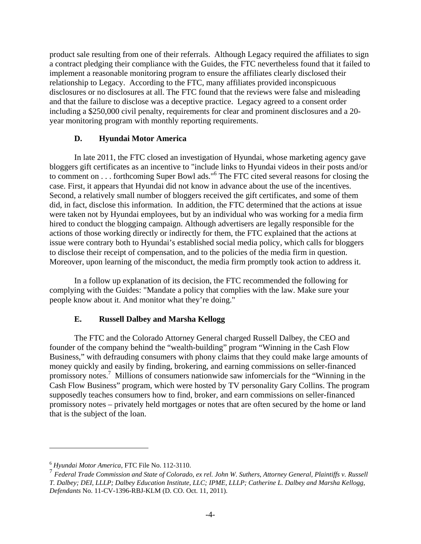product sale resulting from one of their referrals. Although Legacy required the affiliates to sign a contract pledging their compliance with the Guides, the FTC nevertheless found that it failed to implement a reasonable monitoring program to ensure the affiliates clearly disclosed their relationship to Legacy. According to the FTC, many affiliates provided inconspicuous disclosures or no disclosures at all. The FTC found that the reviews were false and misleading and that the failure to disclose was a deceptive practice. Legacy agreed to a consent order including a \$250,000 civil penalty, requirements for clear and prominent disclosures and a 20 year monitoring program with monthly reporting requirements.

#### **D. Hyundai Motor America**

In late 2011, the FTC closed an investigation of Hyundai, whose marketing agency gave bloggers gift certificates as an incentive to "include links to Hyundai videos in their posts and/or to comment on . . . forthcoming Super Bowl ads."<sup>6</sup> The FTC cited several reasons for closing the case. First, it appears that Hyundai did not know in advance about the use of the incentives. Second, a relatively small number of bloggers received the gift certificates, and some of them did, in fact, disclose this information. In addition, the FTC determined that the actions at issue were taken not by Hyundai employees, but by an individual who was working for a media firm hired to conduct the blogging campaign. Although advertisers are legally responsible for the actions of those working directly or indirectly for them, the FTC explained that the actions at issue were contrary both to Hyundai's established social media policy, which calls for bloggers to disclose their receipt of compensation, and to the policies of the media firm in question. Moreover, upon learning of the misconduct, the media firm promptly took action to address it.

In a follow up explanation of its decision, the FTC recommended the following for complying with the Guides: "Mandate a policy that complies with the law. Make sure your people know about it. And monitor what they're doing."

## **E. Russell Dalbey and Marsha Kellogg**

The FTC and the Colorado Attorney General charged Russell Dalbey, the CEO and founder of the company behind the "wealth-building" program "Winning in the Cash Flow Business," with defrauding consumers with phony claims that they could make large amounts of money quickly and easily by finding, brokering, and earning commissions on seller-financed promissory notes.<sup>7</sup> Millions of consumers nationwide saw infomercials for the "Winning in the Cash Flow Business" program, which were hosted by TV personality Gary Collins. The program supposedly teaches consumers how to find, broker, and earn commissions on seller-financed promissory notes – privately held mortgages or notes that are often secured by the home or land that is the subject of the loan.

<sup>6</sup> *Hyundai Motor America*, FTC File No. 112-3110.

<sup>7</sup> *Federal Trade Commission and State of Colorado, ex rel. John W. Suthers, Attorney General, Plaintiffs v. Russell T. Dalbey; DEI, LLLP; Dalbey Education Institute, LLC; IPME, LLLP; Catherine L. Dalbey and Marsha Kellogg, Defendants* No. 11-CV-1396-RBJ-KLM (D. CO. Oct. 11, 2011).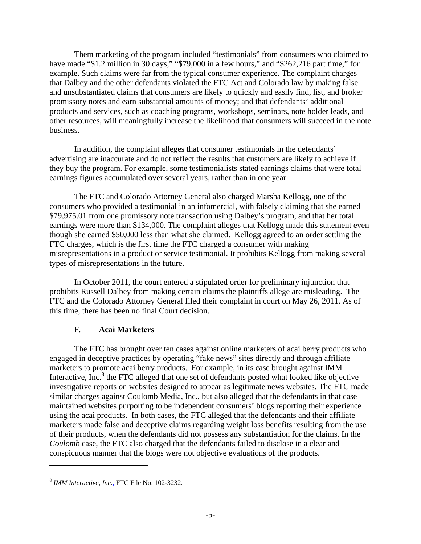Them marketing of the program included "testimonials" from consumers who claimed to have made "\$1.2 million in 30 days," "\$79,000 in a few hours," and "\$262,216 part time," for example. Such claims were far from the typical consumer experience. The complaint charges that Dalbey and the other defendants violated the FTC Act and Colorado law by making false and unsubstantiated claims that consumers are likely to quickly and easily find, list, and broker promissory notes and earn substantial amounts of money; and that defendants' additional products and services, such as coaching programs, workshops, seminars, note holder leads, and other resources, will meaningfully increase the likelihood that consumers will succeed in the note business.

In addition, the complaint alleges that consumer testimonials in the defendants' advertising are inaccurate and do not reflect the results that customers are likely to achieve if they buy the program. For example, some testimonialists stated earnings claims that were total earnings figures accumulated over several years, rather than in one year.

The FTC and Colorado Attorney General also charged Marsha Kellogg, one of the consumers who provided a testimonial in an infomercial, with falsely claiming that she earned \$79,975.01 from one promissory note transaction using Dalbey's program, and that her total earnings were more than \$134,000. The complaint alleges that Kellogg made this statement even though she earned \$50,000 less than what she claimed. Kellogg agreed to an order settling the FTC charges, which is the first time the FTC charged a consumer with making misrepresentations in a product or service testimonial. It prohibits Kellogg from making several types of misrepresentations in the future.

In October 2011, the court entered a stipulated order for preliminary injunction that prohibits Russell Dalbey from making certain claims the plaintiffs allege are misleading. The FTC and the Colorado Attorney General filed their complaint in court on May 26, 2011. As of this time, there has been no final Court decision.

#### F. **Acai Marketers**

The FTC has brought over ten cases against online marketers of acai berry products who engaged in deceptive practices by operating "fake news" sites directly and through affiliate marketers to promote acai berry products. For example, in its case brought against IMM Interactive, Inc.<sup>8</sup> the FTC alleged that one set of defendants posted what looked like objective investigative reports on websites designed to appear as legitimate news websites. The FTC made similar charges against Coulomb Media, Inc., but also alleged that the defendants in that case maintained websites purporting to be independent consumers' blogs reporting their experience using the acai products. In both cases, the FTC alleged that the defendants and their affiliate marketers made false and deceptive claims regarding weight loss benefits resulting from the use of their products, when the defendants did not possess any substantiation for the claims. In the *Coulomb* case, the FTC also charged that the defendants failed to disclose in a clear and conspicuous manner that the blogs were not objective evaluations of the products.

<sup>8</sup> *IMM Interactive, Inc*., FTC File No. 102-3232.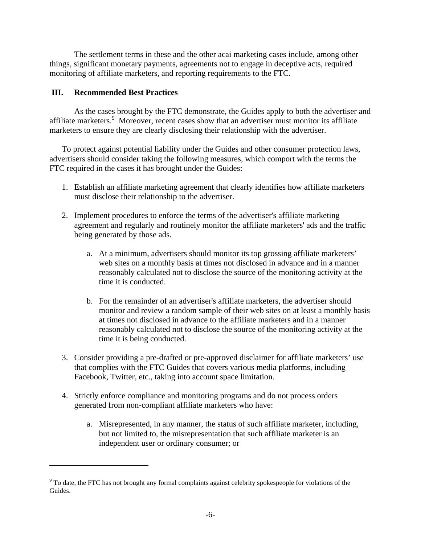The settlement terms in these and the other acai marketing cases include, among other things, significant monetary payments, agreements not to engage in deceptive acts, required monitoring of affiliate marketers, and reporting requirements to the FTC.

## **III. Recommended Best Practices**

1

As the cases brought by the FTC demonstrate, the Guides apply to both the advertiser and affiliate marketers.<sup>9</sup> Moreover, recent cases show that an advertiser must monitor its affiliate marketers to ensure they are clearly disclosing their relationship with the advertiser.

To protect against potential liability under the Guides and other consumer protection laws, advertisers should consider taking the following measures, which comport with the terms the FTC required in the cases it has brought under the Guides:

- 1. Establish an affiliate marketing agreement that clearly identifies how affiliate marketers must disclose their relationship to the advertiser.
- 2. Implement procedures to enforce the terms of the advertiser's affiliate marketing agreement and regularly and routinely monitor the affiliate marketers' ads and the traffic being generated by those ads.
	- a. At a minimum, advertisers should monitor its top grossing affiliate marketers' web sites on a monthly basis at times not disclosed in advance and in a manner reasonably calculated not to disclose the source of the monitoring activity at the time it is conducted.
	- b. For the remainder of an advertiser's affiliate marketers, the advertiser should monitor and review a random sample of their web sites on at least a monthly basis at times not disclosed in advance to the affiliate marketers and in a manner reasonably calculated not to disclose the source of the monitoring activity at the time it is being conducted.
- 3. Consider providing a pre-drafted or pre-approved disclaimer for affiliate marketers' use that complies with the FTC Guides that covers various media platforms, including Facebook, Twitter, etc., taking into account space limitation.
- 4. Strictly enforce compliance and monitoring programs and do not process orders generated from non-compliant affiliate marketers who have:
	- a. Misrepresented, in any manner, the status of such affiliate marketer, including, but not limited to, the misrepresentation that such affiliate marketer is an independent user or ordinary consumer; or

<sup>&</sup>lt;sup>9</sup> To date, the FTC has not brought any formal complaints against celebrity spokespeople for violations of the Guides.